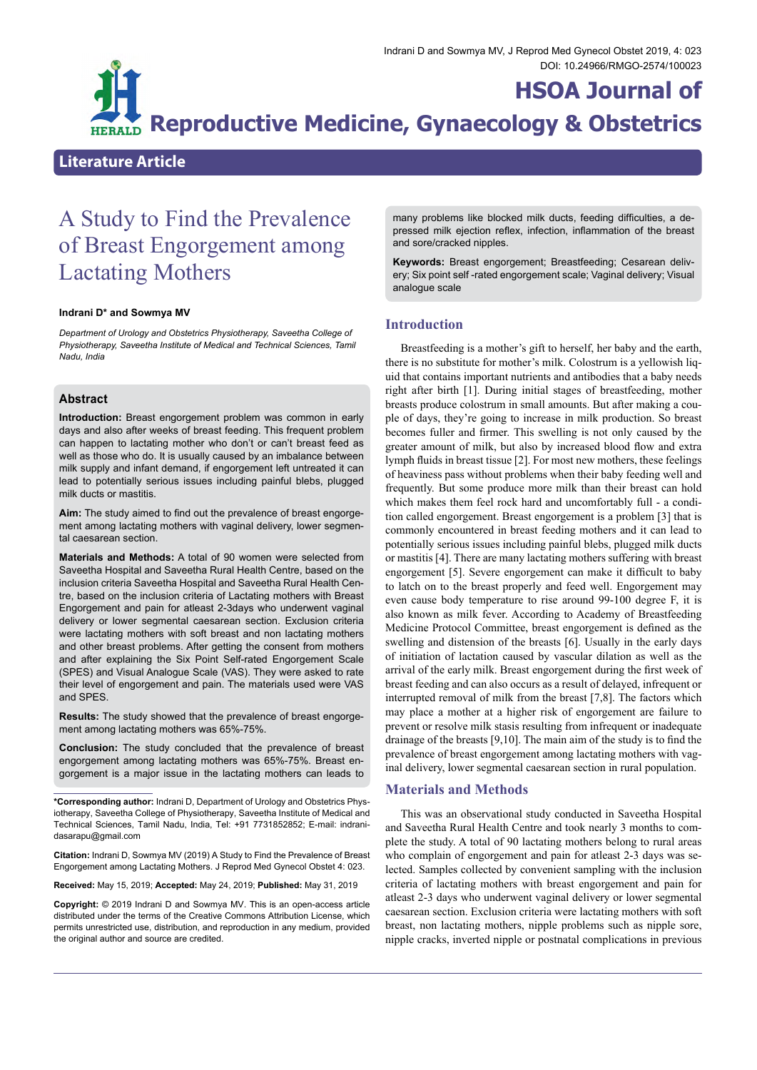# **HSOA Journal of Reproductive Medicine, Gynaecology & Obstetrics**

# **Literature Article**

# A Study to Find the Prevalence of Breast Engorgement among Lactating Mothers

#### **Indrani D\* and Sowmya MV**

*Department of Urology and Obstetrics Physiotherapy, Saveetha College of Physiotherapy, Saveetha Institute of Medical and Technical Sciences, Tamil Nadu, India*

### **Abstract**

**Introduction:** Breast engorgement problem was common in early days and also after weeks of breast feeding. This frequent problem can happen to lactating mother who don't or can't breast feed as well as those who do. It is usually caused by an imbalance between milk supply and infant demand, if engorgement left untreated it can lead to potentially serious issues including painful blebs, plugged milk ducts or mastitis.

**Aim:** The study aimed to find out the prevalence of breast engorgement among lactating mothers with vaginal delivery, lower segmental caesarean section.

**Materials and Methods:** A total of 90 women were selected from Saveetha Hospital and Saveetha Rural Health Centre, based on the inclusion criteria Saveetha Hospital and Saveetha Rural Health Centre, based on the inclusion criteria of Lactating mothers with Breast Engorgement and pain for atleast 2-3days who underwent vaginal delivery or lower segmental caesarean section. Exclusion criteria were lactating mothers with soft breast and non lactating mothers and other breast problems. After getting the consent from mothers and after explaining the Six Point Self-rated Engorgement Scale (SPES) and Visual Analogue Scale (VAS). They were asked to rate their level of engorgement and pain. The materials used were VAS and SPES.

**Results:** The study showed that the prevalence of breast engorgement among lactating mothers was 65%-75%.

**Conclusion:** The study concluded that the prevalence of breast engorgement among lactating mothers was 65%-75%. Breast engorgement is a major issue in the lactating mothers can leads to

**\*Corresponding author:** Indrani D, Department of Urology and Obstetrics Phys- iotherapy, Saveetha College of Physiotherapy, Saveetha Institute of Medical and Technical Sciences, Tamil Nadu, India, Tel: +91 7731852852; E-mail: [indrani-](mailto:indranidasarapu@gmail.com) [dasarapu@gmail.com](mailto:indranidasarapu@gmail.com)

**Citation:** Indrani D, Sowmya MV (2019) A Study to Find the Prevalence of Breast Engorgement among Lactating Mothers. J Reprod Med Gynecol Obstet 4: 023.

**Received:** May 15, 2019; **Accepted:** May 24, 2019; **Published:** May 31, 2019

**Copyright:** © 2019 Indrani D and Sowmya MV. This is an open-access article distributed under the terms of the Creative Commons Attribution License, which permits unrestricted use, distribution, and reproduction in any medium, provided the original author and source are credited.

many problems like blocked milk ducts, feeding difficulties, a depressed milk ejection reflex, infection, inflammation of the breast and sore/cracked nipples.

**Keywords:** Breast engorgement; Breastfeeding; Cesarean delivery; Six point self -rated engorgement scale; Vaginal delivery; Visual analogue scale

## **Introduction**

Breastfeeding is a mother's gift to herself, her baby and the earth, there is no substitute for mother's milk. Colostrum is a yellowish liquid that contains important nutrients and antibodies that a baby needs right after birth [1]. During initial stages of breastfeeding, mother breasts produce colostrum in small amounts. But after making a couple of days, they're going to increase in milk production. So breast becomes fuller and firmer. This swelling is not only caused by the greater amount of milk, but also by increased blood flow and extra lymph fluids in breast tissue [2]. For most new mothers, these feelings of heaviness pass without problems when their baby feeding well and frequently. But some produce more milk than their breast can hold which makes them feel rock hard and uncomfortably full - a condition called engorgement. Breast engorgement is a problem [3] that is commonly encountered in breast feeding mothers and it can lead to potentially serious issues including painful blebs, plugged milk ducts or mastitis [4]. There are many lactating mothers suffering with breast engorgement [5]. Severe engorgement can make it difficult to baby to latch on to the breast properly and feed well. Engorgement may even cause body temperature to rise around 99-100 degree F, it is also known as milk fever. According to Academy of Breastfeeding Medicine Protocol Committee, breast engorgement is defined as the swelling and distension of the breasts [6]. Usually in the early days of initiation of lactation caused by vascular dilation as well as the arrival of the early milk. Breast engorgement during the first week of breast feeding and can also occurs as a result of delayed, infrequent or interrupted removal of milk from the breast [7,8]. The factors which may place a mother at a higher risk of engorgement are failure to prevent or resolve milk stasis resulting from infrequent or inadequate drainage of the breasts [9,10]. The main aim of the study is to find the prevalence of breast engorgement among lactating mothers with vaginal delivery, lower segmental caesarean section in rural population.

#### **Materials and Methods**

This was an observational study conducted in Saveetha Hospital and Saveetha Rural Health Centre and took nearly 3 months to complete the study. A total of 90 lactating mothers belong to rural areas who complain of engorgement and pain for atleast 2-3 days was selected. Samples collected by convenient sampling with the inclusion criteria of lactating mothers with breast engorgement and pain for atleast 2-3 days who underwent vaginal delivery or lower segmental caesarean section. Exclusion criteria were lactating mothers with soft breast, non lactating mothers, nipple problems such as nipple sore, nipple cracks, inverted nipple or postnatal complications in previous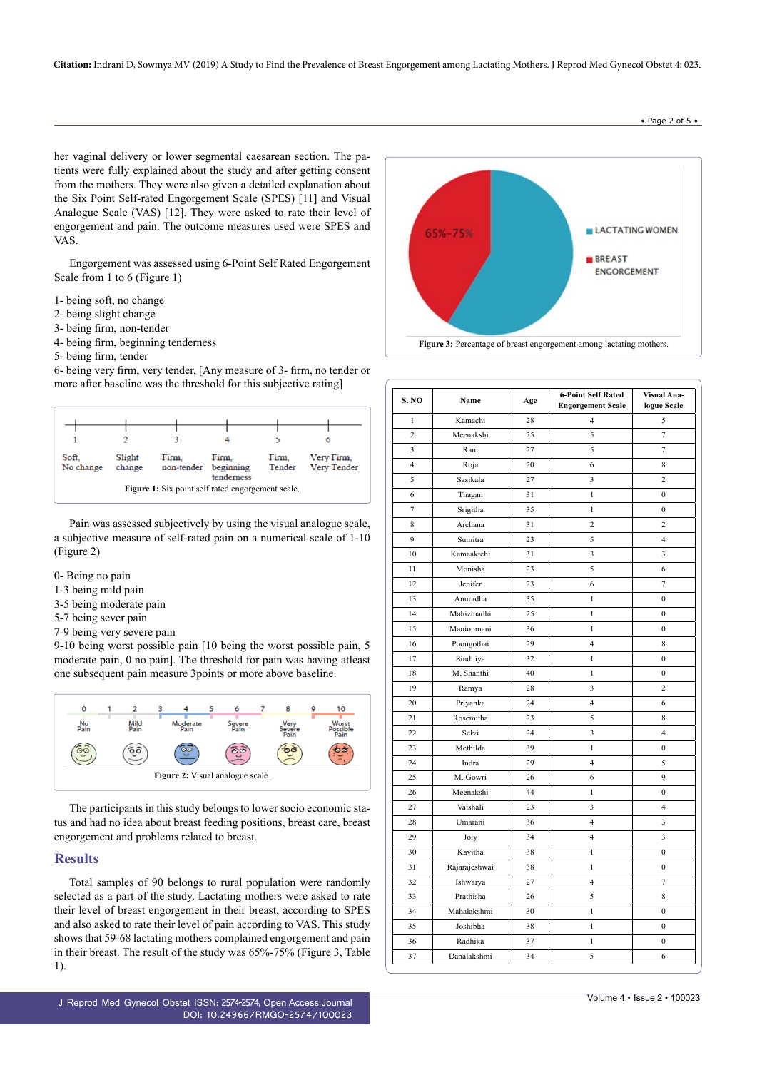• Page 2 of 5 •

her vaginal delivery or lower segmental caesarean section. The patients were fully explained about the study and after getting consent from the mothers. They were also given a detailed explanation about the Six Point Self-rated Engorgement Scale (SPES) [11] and Visual Analogue Scale (VAS) [12]. They were asked to rate their level of engorgement and pain. The outcome measures used were SPES and VAS.

Engorgement was assessed using 6-Point Self Rated Engorgement Scale from 1 to 6 (Figure 1)

- 1- being soft, no change
- 2- being slight change
- 3- being firm, non-tender
- 4- being firm, beginning tenderness
- 5- being firm, tender

6- being very firm, very tender, [Any measure of 3- firm, no tender or more after baseline was the threshold for this subjective rating]



Pain was assessed subjectively by using the visual analogue scale, a subjective measure of self-rated pain on a numerical scale of 1-10 (Figure 2)

- 0- Being no pain
- 1-3 being mild pain
- 3-5 being moderate pain
- 5-7 being sever pain
- 7-9 being very severe pain

9-10 being worst possible pain [10 being the worst possible pain, 5 moderate pain, 0 no pain]. The threshold for pain was having atleast one subsequent pain measure 3points or more above baseline.



The participants in this study belongs to lower socio economic status and had no idea about breast feeding positions, breast care, breast engorgement and problems related to breast.

#### **Results**

Total samples of 90 belongs to rural population were randomly selected as a part of the study. Lactating mothers were asked to rate their level of breast engorgement in their breast, according to SPES and also asked to rate their level of pain according to VAS. This study shows that 59-68 lactating mothers complained engorgement and pain in their breast. The result of the study was 65%-75% (Figure 3, Table 1).



| S. NO          | Name          | Age | <b>6-Point Self Rated</b><br><b>Engorgement Scale</b> | Visual Ana-<br>logue Scale |
|----------------|---------------|-----|-------------------------------------------------------|----------------------------|
| $\mathbf{1}$   | Kamachi       | 28  | $\overline{4}$                                        | 5                          |
| $\overline{c}$ | Meenakshi     | 25  | 5                                                     | $\tau$                     |
| 3              | Rani          | 27  | 5                                                     | $\tau$                     |
| 4              | Roja          | 20  | 6                                                     | 8                          |
| 5              | Sasikala      | 27  | 3                                                     | $\overline{c}$             |
| 6              | Thagan        | 31  | $\mathbf{1}$                                          | $\boldsymbol{0}$           |
| $\overline{7}$ | Srigitha      | 35  | $\mathbf{1}$                                          | $\boldsymbol{0}$           |
| 8              | Archana       | 31  | $\overline{c}$                                        | $\overline{c}$             |
| 9              | Sumitra       | 23  | 5                                                     | $\overline{4}$             |
| 10             | Kamaaktchi    | 31  | 3                                                     | 3                          |
| 11             | Monisha       | 23  | 5                                                     | 6                          |
| 12             | Jenifer       | 23  | 6                                                     | $\overline{7}$             |
| 13             | Anuradha      | 35  | $\mathbf{1}$                                          | $\mathbf{0}$               |
| 14             | Mahizmadhi    | 25  | $\mathbf{1}$                                          | $\boldsymbol{0}$           |
| 15             | Manionmani    | 36  | $\mathbf{1}$                                          | $\boldsymbol{0}$           |
| 16             | Poongothai    | 29  | $\overline{\mathbf{4}}$                               | 8                          |
| 17             | Sindhiya      | 32  | $\mathbf{1}$                                          | $\boldsymbol{0}$           |
| 18             | M. Shanthi    | 40  | $\mathbf{1}$                                          | $\boldsymbol{0}$           |
| 19             | Ramya         | 28  | 3                                                     | $\overline{\mathbf{c}}$    |
| 20             | Priyanka      | 24  | $\overline{4}$                                        | 6                          |
| 21             | Rosemitha     | 23  | 5                                                     | 8                          |
| 22             | Selvi         | 24  | 3                                                     | $\overline{\mathbf{4}}$    |
| 23             | Methilda      | 39  | $\mathbf{1}$                                          | $\boldsymbol{0}$           |
| 24             | Indra         | 29  | $\overline{4}$                                        | 5                          |
| 25             | M. Gowri      | 26  | 6                                                     | 9                          |
| 26             | Meenakshi     | 44  | $\mathbf{1}$                                          | $\boldsymbol{0}$           |
| 27             | Vaishali      | 23  | 3                                                     | $\overline{\mathbf{4}}$    |
| 28             | Umarani       | 36  | $\overline{4}$                                        | 3                          |
| 29             | Joly          | 34  | $\overline{4}$                                        | 3                          |
| 30             | Kavitha       | 38  | 1                                                     | $\mathbf{0}$               |
| 31             | Rajarajeshwai | 38  | $\mathbf{1}$                                          | $\boldsymbol{0}$           |
| 32             | Ishwarya      | 27  | $\overline{4}$                                        | 7                          |
| 33             | Prathisha     | 26  | 5                                                     | 8                          |
| 34             | Mahalakshmi   | 30  | $\mathbf{1}$                                          | $\boldsymbol{0}$           |
| 35             | Joshibha      | 38  | 1                                                     | $\boldsymbol{0}$           |
| 36             | Radhika       | 37  | $\mathbf{1}$                                          | $\boldsymbol{0}$           |
| 37             | Danalakshmi   | 34  | 5                                                     | 6                          |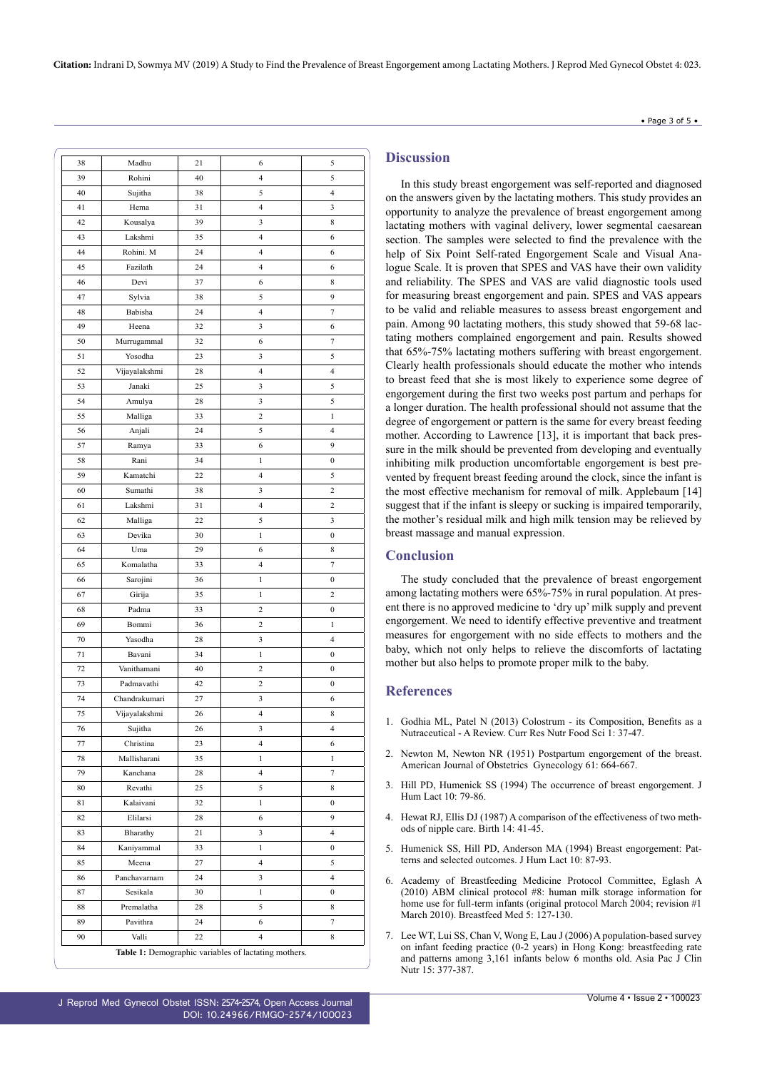| $\bullet$ Page 3 of 5 |  |  |  |
|-----------------------|--|--|--|
|                       |  |  |  |

| 38 | Madhu         | 21 | 6                                                    | 5                |
|----|---------------|----|------------------------------------------------------|------------------|
| 39 | Rohini        | 40 | $\overline{4}$                                       | 5                |
| 40 | Sujitha       | 38 | 5                                                    | 4                |
| 41 | Hema          | 31 | $\overline{4}$                                       | 3                |
| 42 | Kousalya      | 39 | 3                                                    | 8                |
| 43 | Lakshmi       | 35 | $\overline{4}$                                       | 6                |
| 44 | Rohini. M     | 24 | $\overline{4}$                                       | 6                |
| 45 | Fazilath      | 24 | $\overline{\mathcal{L}}$                             | 6                |
| 46 | Devi          | 37 | 6                                                    | 8                |
| 47 | Sylvia        | 38 | 5                                                    | 9                |
| 48 | Babisha       | 24 | $\overline{4}$                                       | 7                |
|    |               |    |                                                      |                  |
| 49 | Heena         | 32 | 3                                                    | 6                |
| 50 | Murrugammal   | 32 | 6                                                    | 7                |
| 51 | Yosodha       | 23 | 3                                                    | 5                |
| 52 | Vijayalakshmi | 28 | 4                                                    | 4                |
| 53 | Janaki        | 25 | 3                                                    | 5                |
| 54 | Amulya        | 28 | 3                                                    | 5                |
| 55 | Malliga       | 33 | $\boldsymbol{2}$                                     | 1                |
| 56 | Anjali        | 24 | 5                                                    | 4                |
| 57 | Ramya         | 33 | 6                                                    | 9                |
| 58 | Rani          | 34 | 1                                                    | 0                |
| 59 | Kamatchi      | 22 | $\overline{4}$                                       | 5                |
| 60 | Sumathi       | 38 | 3                                                    | 2                |
| 61 | Lakshmi       | 31 | $\overline{\mathcal{A}}$                             | 2                |
| 62 | Malliga       | 22 | 5                                                    | 3                |
| 63 | Devika        | 30 | 1                                                    | 0                |
| 64 | Uma           | 29 | 6                                                    | 8                |
| 65 | Komalatha     | 33 | $\overline{4}$                                       | 7                |
| 66 | Sarojini      | 36 | 1                                                    | $\boldsymbol{0}$ |
| 67 | Girija        | 35 | 1                                                    | 2                |
| 68 | Padma         | 33 | $\overline{c}$                                       | $\boldsymbol{0}$ |
| 69 | Bommi         | 36 | $\overline{c}$                                       | 1                |
| 70 | Yasodha       | 28 | 3                                                    | 4                |
| 71 | Bavani        | 34 | $\,1$                                                | 0                |
| 72 | Vanithamani   | 40 | $\overline{\mathbf{c}}$                              | 0                |
| 73 | Padmavathi    | 42 | $\overline{\mathbf{c}}$                              | 0                |
| 74 | Chandrakumari | 27 | 3                                                    | 6                |
|    |               |    | $\overline{4}$                                       | 8                |
| 75 | Vijayalakshmi | 26 |                                                      |                  |
| 76 | Sujitha       | 26 | 3                                                    | 4                |
| 77 | Christina     | 23 | $\overline{\mathcal{L}}$                             | 6                |
| 78 | Mallisharani  | 35 | 1                                                    | 1                |
| 79 | Kanchana      | 28 | $\overline{4}$                                       | 7                |
| 80 | Revathi       | 25 | 5                                                    | 8                |
| 81 | Kalaivani     | 32 | $\mathbf{1}$                                         | $\boldsymbol{0}$ |
| 82 | Elilarsi      | 28 | 6                                                    | 9                |
| 83 | Bharathy      | 21 | 3                                                    | 4                |
| 84 | Kaniyammal    | 33 | 1                                                    | 0                |
| 85 | Meena         | 27 | $\overline{4}$                                       | 5                |
| 86 | Panchavarnam  | 24 | 3                                                    | $\overline{4}$   |
| 87 | Sesikala      | 30 | $\mathbf{1}$                                         | $\boldsymbol{0}$ |
| 88 | Premalatha    | 28 | 5                                                    | 8                |
| 89 | Pavithra      | 24 | 6                                                    | 7                |
| 90 | Valli         | 22 | $\overline{4}$                                       | 8                |
|    |               |    | Table 1: Demographic variables of lactating mothers. |                  |

#### **Discussion**

In this study breast engorgement was self-reported and diagnosed on the answers given by the lactating mothers. This study provides an opportunity to analyze the prevalence of breast engorgement among lactating mothers with vaginal delivery, lower segmental caesarean section. The samples were selected to find the prevalence with the help of Six Point Self-rated Engorgement Scale and Visual Analogue Scale. It is proven that SPES and VAS have their own validity and reliability. The SPES and VAS are valid diagnostic tools used for measuring breast engorgement and pain. SPES and VAS appears to be valid and reliable measures to assess breast engorgement and pain. Among 90 lactating mothers, this study showed that 59-68 lactating mothers complained engorgement and pain. Results showed that 65%-75% lactating mothers suffering with breast engorgement. Clearly health professionals should educate the mother who intends to breast feed that she is most likely to experience some degree of engorgement during the first two weeks post partum and perhaps for a longer duration. The health professional should not assume that the degree of engorgement or pattern is the same for every breast feeding mother. According to Lawrence [13], it is important that back pressure in the milk should be prevented from developing and eventually inhibiting milk production uncomfortable engorgement is best prevented by frequent breast feeding around the clock, since the infant is the most effective mechanism for removal of milk. Applebaum [14] suggest that if the infant is sleepy or sucking is impaired temporarily, the mother's residual milk and high milk tension may be relieved by breast massage and manual expression.

#### **Conclusion**

The study concluded that the prevalence of breast engorgement among lactating mothers were 65%-75% in rural population. At present there is no approved medicine to 'dry up' milk supply and prevent engorgement. We need to identify effective preventive and treatment measures for engorgement with no side effects to mothers and the baby, which not only helps to relieve the discomforts of lactating mother but also helps to promote proper milk to the baby.

#### **References**

- 1. [Godhia ML, Patel N \(2013\) Colostrum its Composition, Benefits as a](https://www.foodandnutritionjournal.org/volume1number1/colostrum-its-composition-benefits-as-a-nutraceutical-a-review/) Nutraceutical - A Review. [Curr Res Nutr Food Sci 1: 37-47.](https://www.foodandnutritionjournal.org/volume1number1/colostrum-its-composition-benefits-as-a-nutraceutical-a-review/)
- 2. [Newton M, Newton NR \(1951\) Postpartum engorgement of the breast.](https://www.ajog.org/article/0002-9378(51)91418-4/abstract) [American Journal of Obstetrics Gynecology 61: 664-667.](https://www.ajog.org/article/0002-9378(51)91418-4/abstract)
- 3. [Hill PD, Humenick SS \(1994\) The occurrence of breast engorgement. J](https://www.ncbi.nlm.nih.gov/pubmed/7619260) [Hum Lact 10: 79-86.](https://www.ncbi.nlm.nih.gov/pubmed/7619260)
- 4. [Hewat RJ, Ellis DJ \(1987\) A comparison of the effectiveness of two meth](https://www.ncbi.nlm.nih.gov/pubmed/3646890)[ods of nipple care. Birth 14: 41-45.](https://www.ncbi.nlm.nih.gov/pubmed/3646890)
- 5. [Humenick SS, Hill PD, Anderson MA \(1994\) Breast engorgement: Pat](https://www.ncbi.nlm.nih.gov/pubmed/7619261)[terns and selected outcomes. J Hum Lact 10: 87-93.](https://www.ncbi.nlm.nih.gov/pubmed/7619261)
- 6. [Academy of Breastfeeding Medicine Protocol Committee, Eglash A](https://www.ncbi.nlm.nih.gov/pubmed/21548822) [\(2010\) ABM clinical protocol #8: human milk storage information for](https://www.ncbi.nlm.nih.gov/pubmed/21548822) [home use for full-term infants \(original protocol March 2004; revision #1](https://www.ncbi.nlm.nih.gov/pubmed/21548822) March 2010). [Breastfeed Med 5: 127-130.](https://www.ncbi.nlm.nih.gov/pubmed/21548822)
- 7. [Lee WT, Lui SS, Chan V, Wong E, Lau J \(2006\) A population-based survey](https://www.ncbi.nlm.nih.gov/pubmed/16837431) [on infant feeding practice \(0-2 years\) in Hong Kong: breastfeeding rate](https://www.ncbi.nlm.nih.gov/pubmed/16837431) [and patterns among 3,161 infants below 6 months old. Asia Pac J Clin](https://www.ncbi.nlm.nih.gov/pubmed/16837431) [Nutr 15: 377-387.](https://www.ncbi.nlm.nih.gov/pubmed/16837431)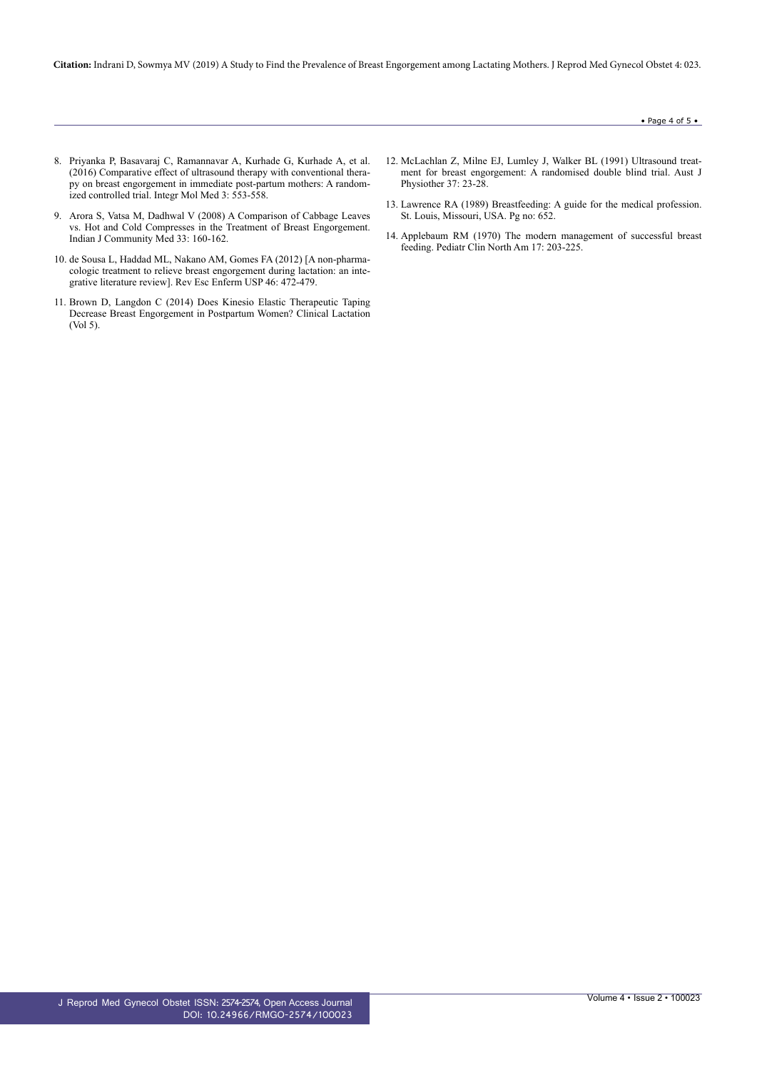**Citation:** Indrani D, Sowmya MV (2019) A Study to Find the Prevalence of Breast Engorgement among Lactating Mothers. J Reprod Med Gynecol Obstet 4: 023.

- 8. [Priyanka P, Basavaraj C, Ramannavar A, Kurhade G, Kurhade A, et al.](https://www.oatext.com/pdf/IMM-3-203.pdf) [\(2016\) Comparative effect of ultrasound therapy with conventional thera](https://www.oatext.com/pdf/IMM-3-203.pdf)[py on breast engorgement in immediate post-partum mothers: A random](https://www.oatext.com/pdf/IMM-3-203.pdf)[ized controlled trial. Integr Mol Med 3: 553-558.](https://www.oatext.com/pdf/IMM-3-203.pdf)
- 9. [Arora S, Vatsa M, Dadhwal V \(2008\) A Comparison of Cabbage Leaves](https://www.ncbi.nlm.nih.gov/pubmed/19876476) [vs. Hot and Cold Compresses in the Treatment of Breast Engorgement.](https://www.ncbi.nlm.nih.gov/pubmed/19876476) [Indian J Community Med 33: 160-162.](https://www.ncbi.nlm.nih.gov/pubmed/19876476)
- 10. [de Sousa L, Haddad ML, Nakano AM, Gomes FA \(2012\) \[A non-pharma](https://www.ncbi.nlm.nih.gov/pubmed/22576554)[cologic treatment to relieve breast engorgement during lactation: an inte](https://www.ncbi.nlm.nih.gov/pubmed/22576554)[grative literature review\]. Rev Esc Enferm USP 46: 472-479.](https://www.ncbi.nlm.nih.gov/pubmed/22576554)
- 11. [Brown D, Langdon C \(2014\) Does Kinesio Elastic Therapeutic Taping](https://connect.springerpub.com/content/sgrcl/5/2/67) [Decrease Breast Engorgement in Postpartum Women? Clinical Lactation](https://connect.springerpub.com/content/sgrcl/5/2/67) [\(Vol 5\).](https://connect.springerpub.com/content/sgrcl/5/2/67)
- 12. [McLachlan Z, Milne EJ, Lumley J, Walker BL \(1991\) Ultrasound treat](https://www.ncbi.nlm.nih.gov/pubmed/25026196)[ment for breast engorgement: A randomised double blind trial. Aust J](https://www.ncbi.nlm.nih.gov/pubmed/25026196) [Physiother 37: 23-28.](https://www.ncbi.nlm.nih.gov/pubmed/25026196)
- 13. [Lawrence RA \(1989\) Breastfeeding: A guide for the medical profession.](https://www.popline.org/node/366163) [St. Louis, Missouri, USA. Pg no: 652.](https://www.popline.org/node/366163)
- 14. [Applebaum RM \(1970\) The modern management of successful breast](https://www.ncbi.nlm.nih.gov/pubmed/5419106) [feeding. Pediatr Clin North Am 17: 203-225.](https://www.ncbi.nlm.nih.gov/pubmed/5419106)